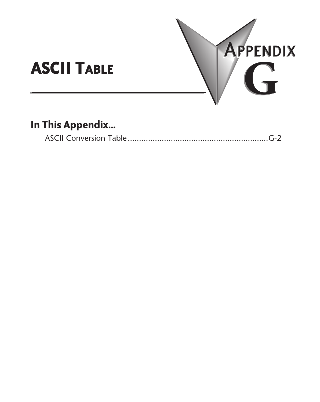

## **In This Appendix...**

|--|